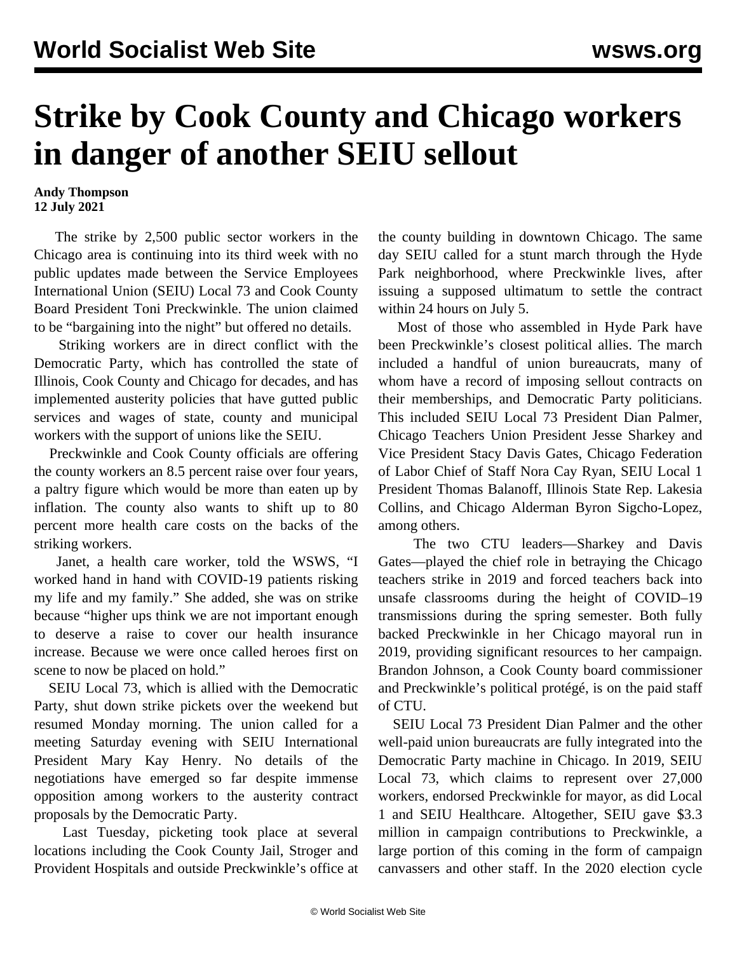## **Strike by Cook County and Chicago workers in danger of another SEIU sellout**

## **Andy Thompson 12 July 2021**

 The strike by 2,500 public sector workers in the Chicago area is continuing into its third week with no public updates made between the Service Employees International Union (SEIU) Local 73 and Cook County Board President Toni Preckwinkle. The union claimed to be "bargaining into the night" but offered no details.

 Striking workers are in direct conflict with the Democratic Party, which has controlled the state of Illinois, Cook County and Chicago for decades, and has implemented austerity policies that have gutted public services and wages of state, county and municipal workers with the support of unions like the SEIU.

 Preckwinkle and Cook County officials are offering the county workers an 8.5 percent raise over four years, a paltry figure which would be more than eaten up by inflation. The county also wants to shift up to 80 percent more health care costs on the backs of the striking workers.

 Janet, a health care worker, told the WSWS, "I worked hand in hand with COVID-19 patients risking my life and my family." She added, she was on strike because "higher ups think we are not important enough to deserve a raise to cover our health insurance increase. Because we were once called heroes first on scene to now be placed on hold."

 SEIU Local 73, which is allied with the Democratic Party, shut down strike pickets over the weekend but resumed Monday morning. The union called for a meeting Saturday evening with SEIU International President Mary Kay Henry. No details of the negotiations have emerged so far despite immense opposition among workers to the austerity contract proposals by the Democratic Party.

 Last Tuesday, picketing took place at several locations including the Cook County Jail, Stroger and Provident Hospitals and outside Preckwinkle's office at the county building in downtown Chicago. The same day SEIU called for a stunt march through the Hyde Park neighborhood, where Preckwinkle lives, after issuing a supposed ultimatum to settle the contract within 24 hours on July 5.

 Most of those who assembled in Hyde Park have been Preckwinkle's closest political allies. The march included a handful of union bureaucrats, many of whom have a record of imposing sellout contracts on their memberships, and Democratic Party politicians. This included SEIU Local 73 President Dian Palmer, Chicago Teachers Union President Jesse Sharkey and Vice President Stacy Davis Gates, Chicago Federation of Labor Chief of Staff Nora Cay Ryan, SEIU Local 1 President Thomas Balanoff, Illinois State Rep. Lakesia Collins, and Chicago Alderman Byron Sigcho-Lopez, among others.

 The two CTU leaders—Sharkey and Davis Gates—played the chief role in betraying the [Chicago](/en/topics/event/2019-chicago-teachers-strike) [teachers strike in 2019](/en/topics/event/2019-chicago-teachers-strike) and forced teachers [back into](/en/articles/2021/02/11/chgo-f11.html) [unsafe classrooms](/en/articles/2021/02/11/chgo-f11.html) during the height of COVID–19 transmissions during the spring semester. Both fully backed Preckwinkle in her Chicago mayoral run in 2019, providing significant resources to her campaign. Brandon Johnson, a Cook County board commissioner and Preckwinkle's political protégé, is on the paid staff of CTU.

 SEIU Local 73 President Dian Palmer and the other well-paid union bureaucrats are fully integrated into the Democratic Party machine in Chicago. In 2019, SEIU Local 73, which claims to represent over 27,000 workers, endorsed Preckwinkle for mayor, as did Local 1 and SEIU Healthcare. Altogether, SEIU gave \$3.3 million in campaign contributions to Preckwinkle, a large portion of this coming in the form of campaign canvassers and other staff. In the 2020 election cycle